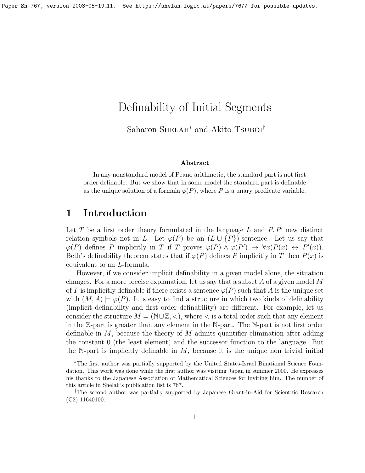# Definability of Initial Segments

Saharon SHELAH<sup>∗</sup> and Akito Tsuboi<sup>†</sup>

#### Abstract

In any nonstandard model of Peano arithmetic, the standard part is not first order definable. But we show that in some model the standard part is definable as the unique solution of a formula  $\varphi(P)$ , where P is a unary predicate variable.

#### 1 Introduction

Let T be a first order theory formulated in the language L and  $P, P'$  new distinct relation symbols not in L. Let  $\varphi(P)$  be an  $(L \cup \{P\})$ -sentence. Let us say that  $\varphi(P)$  defines P implicitly in T if T proves  $\varphi(P) \wedge \varphi(P') \rightarrow \forall x (P(x) \leftrightarrow P'(x))$ . Beth's definability theorem states that if  $\varphi(P)$  defines P implicitly in T then  $P(x)$  is equivalent to an L-formula.

However, if we consider implicit definability in a given model alone, the situation changes. For a more precise explanation, let us say that a subset  $A$  of a given model  $M$ of T is implicitly definable if there exists a sentence  $\varphi(P)$  such that A is the unique set with  $(M, A) \models \varphi(P)$ . It is easy to find a structure in which two kinds of definability (implicit definability and first order definability) are different. For example, let us consider the structure  $M = (\mathbb{N} \cup \mathbb{Z}, \langle \cdot \rangle)$ , where  $\langle \cdot \rangle$  is a total order such that any element in the Z-part is greater than any element in the N-part. The N-part is not first order definable in  $M$ , because the theory of  $M$  admits quantifier elimination after adding the constant 0 (the least element) and the successor function to the language. But the N-part is implicitly definable in  $M$ , because it is the unique non trivial initial

<sup>∗</sup>The first author was partially supported by the United States-Israel Binational Science Foundation. This work was done while the first author was visiting Japan in summer 2000. He expresses his thanks to the Japanese Association of Mathematical Sciences for inviting him. The number of this article in Shelah's publication list is 767.

<sup>†</sup>The second author was partially supported by Japanese Grant-in-Aid for Scientific Research (C2) 11640100.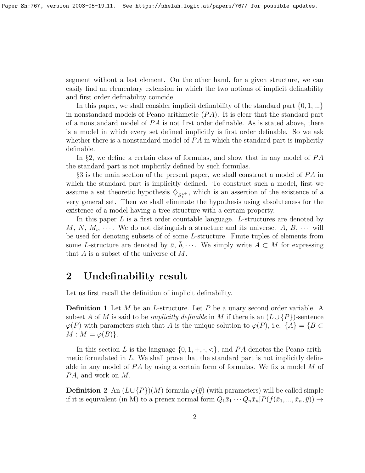segment without a last element. On the other hand, for a given structure, we can easily find an elementary extension in which the two notions of implicit definability and first order definability coincide.

In this paper, we shall consider implicit definability of the standard part  $\{0, 1, ...\}$ in nonstandard models of Peano arithmetic  $(PA)$ . It is clear that the standard part of a nonstandard model of  $PA$  is not first order definable. As is stated above, there is a model in which every set defined implicitly is first order definable. So we ask whether there is a nonstandard model of  $PA$  in which the standard part is implicitly definable.

In §2, we define a certain class of formulas, and show that in any model of  $PA$ the standard part is not implicitly defined by such formulas.

 $\S 3$  is the main section of the present paper, we shall construct a model of  $PA$  in which the standard part is implicitly defined. To construct such a model, first we assume a set theoretic hypothesis  $\diamondsuit_{S_{\lambda}^{\lambda^+}}$ , which is an assertion of the existence of a very general set. Then we shall eliminate the hypothesis using absoluteness for the existence of a model having a tree structure with a certain property.

In this paper  $L$  is a first order countable language.  $L$ -structures are denoted by M, N,  $M_i, \cdots$ . We do not distinguish a structure and its universe. A, B,  $\cdots$  will be used for denoting subsets of of some L-structure. Finite tuples of elements from some L-structure are denoted by  $\bar{a}, \bar{b}, \cdots$ . We simply write  $\bar{A} \subset M$  for expressing that  $A$  is a subset of the universe of  $M$ .

# 2 Undefinability result

Let us first recall the definition of implicit definability.

**Definition 1** Let  $M$  be an  $L$ -structure. Let  $P$  be a unary second order variable. A subset A of M is said to be *implicitly definable* in M if there is an  $(L \cup \{P\})$ -sentence  $\varphi(P)$  with parameters such that A is the unique solution to  $\varphi(P)$ , i.e.  $\{A\} = \{B \subset$  $M : M \models \varphi(B)$ .

In this section L is the language  $\{0, 1, +, \cdot, <\}$ , and PA denotes the Peano arithmetic formulated in  $L$ . We shall prove that the standard part is not implicitly definable in any model of  $PA$  by using a certain form of formulas. We fix a model M of  $PA$ , and work on  $M$ .

**Definition 2** An  $(L \cup \{P\})(M)$ -formula  $\varphi(\bar{y})$  (with parameters) will be called simple if it is equivalent (in M) to a prenex normal form  $Q_1\bar{x}_1 \cdots Q_n\bar{x}_n[P(f(\bar{x}_1,...,\bar{x}_n,\bar{y})) \rightarrow$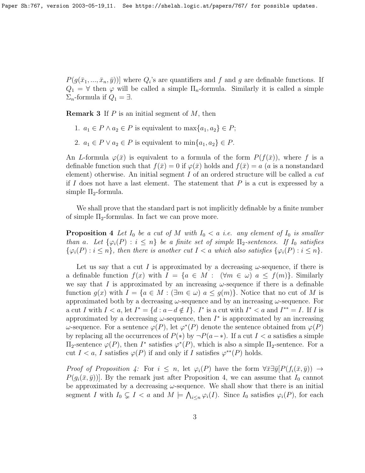$P(g(\bar{x}_1, ..., \bar{x}_n, \bar{y}))$  where  $Q_i$ 's are quantifiers and f and g are definable functions. If  $Q_1 = \forall$  then  $\varphi$  will be called a simple  $\Pi_n$ -formula. Similarly it is called a simple  $\Sigma_n$ -formula if  $Q_1 = \exists$ .

**Remark 3** If  $P$  is an initial segment of  $M$ , then

- 1.  $a_1 \in P \wedge a_2 \in P$  is equivalent to  $\max\{a_1, a_2\} \in P$ ;
- 2.  $a_1 \in P \vee a_2 \in P$  is equivalent to  $\min\{a_1, a_2\} \in P$ .

An L-formula  $\varphi(\bar{x})$  is equivalent to a formula of the form  $P(f(\bar{x}))$ , where f is a definable function such that  $f(\bar{x}) = 0$  if  $\varphi(\bar{x})$  holds and  $f(\bar{x}) = a$  (a is a nonstandard element) otherwise. An initial segment  $I$  of an ordered structure will be called a *cut* if I does not have a last element. The statement that  $P$  is a cut is expressed by a simple  $\Pi_2$ -formula.

We shall prove that the standard part is not implicitly definable by a finite number of simple  $\Pi_2$ -formulas. In fact we can prove more.

<span id="page-2-0"></span>**Proposition 4** Let  $I_0$  be a cut of M with  $I_0 < a$  i.e. any element of  $I_0$  is smaller than a. Let  $\{\varphi_i(P) : i \leq n\}$  be a finite set of simple  $\Pi_2$ -sentences. If  $I_0$  satisfies  $\{\varphi_i(P) : i \leq n\}$ , then there is another cut  $I < a$  which also satisfies  $\{\varphi_i(P) : i \leq n\}$ .

Let us say that a cut I is approximated by a decreasing  $\omega$ -sequence, if there is a definable function  $f(x)$  with  $I = \{a \in M : (\forall m \in \omega) \mid a \le f(m)\}\)$ . Similarly we say that I is approximated by an increasing  $\omega$ -sequence if there is a definable function  $g(x)$  with  $I = \{a \in M : (\exists m \in \omega) \mid a \leq g(m)\}\)$ . Notice that no cut of M is approximated both by a decreasing  $\omega$ -sequence and by an increasing  $\omega$ -sequence. For a cut I with  $I < a$ , let  $I^* = \{d : a-d \notin I\}$ . I<sup>\*</sup> is a cut with  $I^* < a$  and  $I^{**} = I$ . If I is approximated by a decreasing  $\omega$ -sequence, then  $I^*$  is approximated by an increasing ω-sequence. For a sentence  $\varphi(P)$ , let  $\varphi^*(P)$  denote the sentence obtained from  $\varphi(P)$ by replacing all the occurrences of  $P(*)$  by  $\neg P(a-*)$ . If a cut  $I < a$  satisfies a simple  $\Pi_2$ -sentence  $\varphi(P)$ , then  $I^*$  satisfies  $\varphi^*(P)$ , which is also a simple  $\Pi_2$ -sentence. For a cut  $I < a$ , I satisfies  $\varphi(P)$  if and only if I satisfies  $\varphi^{**}(P)$  holds.

Proof of Proposition [4:](#page-2-0) For  $i \leq n$ , let  $\varphi_i(P)$  have the form  $\forall \bar{x} \exists \bar{y} [P(f_i(\bar{x}, \bar{y})) \rightarrow$  $P(g_i(\bar{x}, \bar{y}))$ . By the remark just after Proposition [4,](#page-2-0) we can assume that  $I_0$  cannot be approximated by a decreasing  $\omega$ -sequence. We shall show that there is an initial segment I with  $I_0 \subsetneq I < a$  and  $M \models \bigwedge_{i \leq n} \varphi_i(I)$ . Since  $I_0$  satisfies  $\varphi_i(P)$ , for each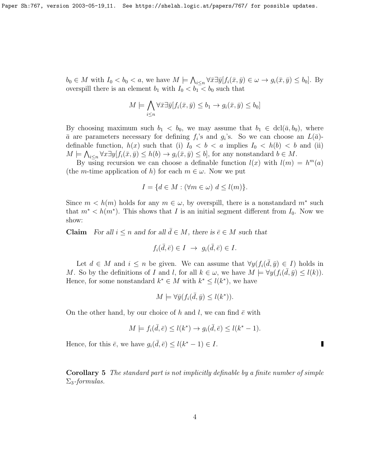$b_0 \in M$  with  $I_0 < b_0 < a$ , we have  $M \models \bigwedge_{i \leq n} \forall \bar{x} \exists \bar{y} [f_i(\bar{x}, \bar{y}) \in \omega \rightarrow g_i(\bar{x}, \bar{y}) \leq b_0]$ . By overspill there is an element  $b_1$  with  $I_0 < b_1 < b_0$  such that

$$
M \models \bigwedge_{i \leq n} \forall \bar{x} \exists \bar{y} [f_i(\bar{x}, \bar{y}) \leq b_1 \rightarrow g_i(\bar{x}, \bar{y}) \leq b_0]
$$

By choosing maximum such  $b_1 < b_0$ , we may assume that  $b_1 \in \text{dcl}(\bar{a}, b_0)$ , where  $\bar{a}$  are parameters necessary for defining  $f_i$ 's and  $g_i$ 's. So we can choose an  $L(\bar{a})$ definable function,  $h(x)$  such that (i)  $I_0 < b < a$  implies  $I_0 < h(b) < b$  and (ii)  $M \models \bigwedge_{i \leq n} \forall x \exists y [f_i(\bar{x}, \bar{y}) \leq h(b) \rightarrow g_i(\bar{x}, \bar{y}) \leq b],$  for any nonstandard  $b \in M$ .

By using recursion we can choose a definable function  $l(x)$  with  $l(m) = h<sup>m</sup>(a)$ (the *m*-time application of h) for each  $m \in \omega$ . Now we put

$$
I = \{ d \in M : (\forall m \in \omega) \ d \le l(m) \}.
$$

Since  $m < h(m)$  holds for any  $m \in \omega$ , by overspill, there is a nonstandard  $m^*$  such that  $m^* < h(m^*)$ . This shows that I is an initial segment different from  $I_0$ . Now we show:

**Claim** For all  $i \leq n$  and for all  $\bar{d} \in M$ , there is  $\bar{e} \in M$  such that

$$
f_i(\bar{d}, \bar{e}) \in I \ \to \ g_i(\bar{d}, \bar{e}) \in I.
$$

Let  $d \in M$  and  $i \leq n$  be given. We can assume that  $\forall y (f_i(\bar{d}, \bar{y}) \in I)$  holds in M. So by the definitions of I and l, for all  $k \in \omega$ , we have  $M \models \forall y (f_i(\bar{d}, \bar{y}) \leq l(k)).$ Hence, for some nonstandard  $k^* \in M$  with  $k^* \leq l(k^*)$ , we have

$$
M \models \forall \bar{y}(f_i(\bar{d}, \bar{y}) \le l(k^*)).
$$

On the other hand, by our choice of h and l, we can find  $\bar{e}$  with

$$
M \models f_i(\bar{d}, \bar{e}) \le l(k^*) \rightarrow g_i(\bar{d}, \bar{e}) \le l(k^* - 1).
$$

Hence, for this  $\bar{e}$ , we have  $g_i(\bar{d}, \bar{e}) \leq l(k^* - 1) \in I$ .

Corollary 5 The standard part is not implicitly definable by a finite number of simple  $\Sigma_3$ -formulas.

Г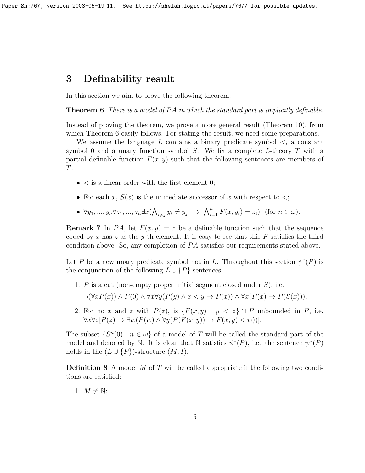### 3 Definability result

<span id="page-4-0"></span>In this section we aim to prove the following theorem:

**Theorem 6** There is a model of  $PA$  in which the standard part is implicitly definable.

Instead of proving the theorem, we prove a more general result (Theorem [10\)](#page-5-0), from which Theorem [6](#page-4-0) easily follows. For stating the result, we need some preparations.

We assume the language  $L$  contains a binary predicate symbol  $\leq$ , a constant symbol 0 and a unary function symbol  $S$ . We fix a complete L-theory  $T$  with a partial definable function  $F(x, y)$  such that the following sentences are members of  $T$ :

- $\bullet$  < is a linear order with the first element 0;
- For each x,  $S(x)$  is the immediate successor of x with respect to  $\lt$ ;
- $\forall y_1, ..., y_n \forall z_1, ..., z_n \exists x (\bigwedge_{i \neq j} y_i \neq y_j \rightarrow \bigwedge_{i=1}^n F(x, y_i) = z_i)$  (for  $n \in \omega$ ).

**Remark 7** In PA, let  $F(x, y) = z$  be a definable function such that the sequence coded by x has z as the y-th element. It is easy to see that this F satisfies the third condition above. So, any completion of  $PA$  satisfies our requirements stated above.

Let P be a new unary predicate symbol not in L. Throughout this section  $\psi^*(P)$  is the conjunction of the following  $L \cup \{P\}$ -sentences:

- 1. P is a cut (non-empty proper initial segment closed under  $S$ ), i.e.  $\neg(\forall x P(x)) \land P(0) \land \forall x \forall y (P(y) \land x \leq y \rightarrow P(x)) \land \forall x (P(x) \rightarrow P(S(x)));$
- 2. For no x and z with  $P(z)$ , is  $\{F(x,y) : y < z\} \cap P$  unbounded in P, i.e.  $\forall x \forall z [P(z) \rightarrow \exists w (P(w) \land \forall y (P(F(x, y)) \rightarrow F(x, y) < w))].$

The subset  $\{S^n(0) : n \in \omega\}$  of a model of T will be called the standard part of the model and denoted by N. It is clear that N satisfies  $\psi^*(P)$ , i.e. the sentence  $\psi^*(P)$ holds in the  $(L \cup \{P\})$ -structure  $(M, I)$ .

**Definition 8** A model M of T will be called appropriate if the following two conditions are satisfied:

1.  $M \neq \mathbb{N};$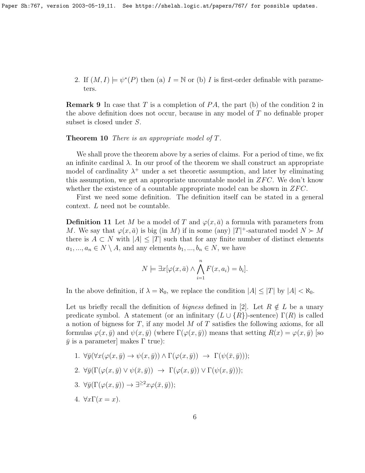2. If  $(M, I) \models \psi^*(P)$  then (a)  $I = \mathbb{N}$  or (b) I is first-order definable with parameters.

**Remark 9** In case that T is a completion of  $PA$ , the part (b) of the condition 2 in the above definition does not occur, because in any model of T no definable proper subset is closed under S.

<span id="page-5-0"></span>Theorem 10 There is an appropriate model of T.

We shall prove the theorem above by a series of claims. For a period of time, we fix an infinite cardinal  $\lambda$ . In our proof of the theorem we shall construct an appropriate model of cardinality  $\lambda^+$  under a set theoretic assumption, and later by eliminating this assumption, we get an appropriate uncountable model in  $ZFC$ . We don't know whether the existence of a countable appropriate model can be shown in  $ZFC$ .

First we need some definition. The definition itself can be stated in a general context. L need not be countable.

<span id="page-5-1"></span>**Definition 11** Let M be a model of T and  $\varphi(x, \bar{a})$  a formula with parameters from M. We say that  $\varphi(x,\bar{a})$  is big (in M) if in some (any) |T|<sup>+</sup>-saturated model  $N \succ M$ there is  $A \subset N$  with  $|A| \leq |T|$  such that for any finite number of distinct elements  $a_1, ..., a_n \in N \setminus A$ , and any elements  $b_1, ..., b_n \in N$ , we have

$$
N \models \exists x [\varphi(x, \bar{a}) \land \bigwedge_{i=1}^{n} F(x, a_i) = b_i].
$$

In the above definition, if  $\lambda = \aleph_0$ , we replace the condition  $|A| \leq |T|$  by  $|A| < \aleph_0$ .

Let us briefly recall the definition of *bigness* defined in [2]. Let  $R \notin L$  be a unary predicate symbol. A statement (or an infinitary  $(L \cup \{R\})$ -sentence)  $\Gamma(R)$  is called a notion of bigness for  $T$ , if any model  $M$  of  $T$  satisfies the following axioms, for all formulas  $\varphi(x, \bar{y})$  and  $\psi(x, \bar{y})$  (where  $\Gamma(\varphi(x, \bar{y}))$  means that setting  $R(x) = \varphi(x, \bar{y})$  [so  $\bar{y}$  is a parameter] makes  $\Gamma$  true):

- 1.  $\forall \bar{y}(\forall x(\varphi(x, \bar{y}) \rightarrow \psi(x, \bar{y})) \land \Gamma(\varphi(x, \bar{y})) \rightarrow \Gamma(\psi(\bar{x}, \bar{y}))),$
- 2.  $\forall \bar{y}(\Gamma(\varphi(x,\bar{y}) \vee \psi(\bar{x},\bar{y})) \rightarrow \Gamma(\varphi(x,\bar{y})) \vee \Gamma(\psi(x,\bar{y}))),$
- 3.  $\forall \bar{y}(\Gamma(\varphi(x,\bar{y})) \rightarrow \exists^{\geq 2} x \varphi(\bar{x},\bar{y}))$ ;
- 4.  $\forall x \Gamma(x=x)$ .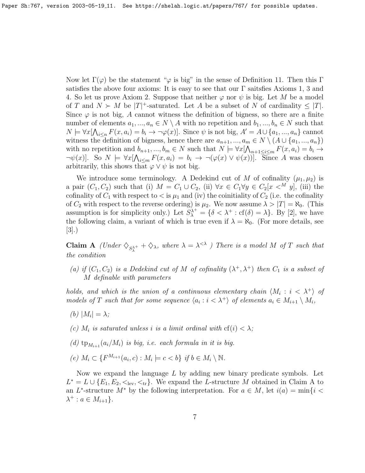Now let  $\Gamma(\varphi)$  be the statement " $\varphi$  is big" in the sense of Definition [11.](#page-5-1) Then this Γ satisfies the above four axioms: It is easy to see that our Γ saitsfies Axioms 1, 3 and 4. So let us prove Axiom 2. Suppose that neither  $\varphi$  nor  $\psi$  is big. Let M be a model of T and  $N \succ M$  be  $|T|^+$ -saturated. Let A be a subset of N of cardinality  $\leq |T|$ . Since  $\varphi$  is not big, A cannot witness the definition of bigness, so there are a finite number of elements  $a_1, ..., a_n \in N \setminus A$  with no repetition and  $b_1, ..., b_n \in N$  such that  $N \models \forall x [\bigwedge_{i \leq n} F(x, a_i) = b_i \rightarrow \neg \varphi(x)].$  Since  $\psi$  is not big,  $A' = A \cup \{a_1, ..., a_n\}$  cannot witness the definition of bigness, hence there are  $a_{n+1},..., a_m \in N \setminus (A \cup \{a_1,..., a_n\})$ with no repetition and  $b_{n+1},...,b_m \in N$  such that  $N \models \forall x [\bigwedge_{n+1 \leq i \leq m} F(x, a_i) = b_i \rightarrow$  $\neg \psi(x)$ . So  $N \models \forall x [\bigwedge_{i \leq m} F(x, a_i) = b_i \rightarrow \neg (\varphi(x) \vee \psi(x))]$ . Since A was chosen arbitrarily, this shows that  $\varphi \vee \psi$  is not big.

We introduce some terminology. A Dedekind cut of M of cofinality  $(\mu_1, \mu_2)$  is a pair  $(C_1, C_2)$  such that (i)  $M = C_1 \cup C_2$ , (ii)  $\forall x \in C_1 \forall y \in C_2[x \prec^M y]$ , (iii) the cofinality of  $C_1$  with respect to  $\lt$  is  $\mu_1$  and (iv) the coinitiality of  $C_2$  (i.e. the cofinality of  $C_2$  with respect to the reverse ordering) is  $\mu_2$ . We now assume  $\lambda > |T| = \aleph_0$ . (This assumption is for simplicity only.) Let  $S_{\lambda}^{\lambda^+} = \{\delta < \lambda^+ : \text{cf}(\delta) = \lambda\}$ . By [2], we have the following claim, a variant of which is true even if  $\lambda = \aleph_0$ . (For more details, see [3].)

**Claim A** (Under  $\diamondsuit_{S_\lambda^{\lambda^+}} + \diamondsuit_\lambda$ , where  $\lambda = \lambda^{<\lambda}$ ) There is a model M of T such that the condition

(a) if  $(C_1, C_2)$  is a Dedekind cut of M of cofinality  $(\lambda^+, \lambda^+)$  then  $C_1$  is a subset of M definable with parameters

holds, and which is the union of a continuous elementary chain  $\langle M_i : i < \lambda^+ \rangle$  of models of T such that for some sequence  $\langle a_i : i \langle \lambda^+ \rangle$  of elements  $a_i \in M_{i+1} \setminus M_i$ ,

- (b)  $|M_i| = \lambda;$
- (c)  $M_i$  is saturated unless i is a limit ordinal with  $cf(i) < \lambda$ ;
- (d)  $tp_{M_{i+1}}(a_i/M_i)$  is big, i.e. each formula in it is big.
- (e)  $M_i \subset \{F^{M_{i+1}}(a_i, c) : M_i \models c < b\}$  if  $b \in M_i \setminus \mathbb{N}$ .

Now we expand the language  $L$  by adding new binary predicate symbols. Let  $L^* = L \cup \{E_1, E_2, \langle \cdot, \cdot \rangle\}$ . We expand the L-structure M obtained in Claim A to an L<sup>\*</sup>-structure  $M^*$  by the following interpretation. For  $a \in M$ , let  $i(a) = \min\{i <$  $\lambda^+$  :  $a \in M_{i+1}$ .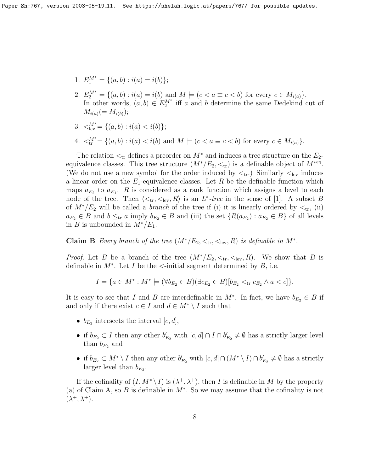- 1.  $E_1^{M^*} = \{(a, b) : i(a) = i(b)\};$
- 2.  $E_2^{M^*} = \{(a, b) : i(a) = i(b) \text{ and } M \models (c < a \equiv c < b) \text{ for every } c \in M_{i(a)}\},\$ In other words,  $(a, b) \in E_2^{M^*}$  iff a and b determine the same Dedekind cut of  $M_{i(a)}(=M_{i(b)})$ ;
- 3.  $\lt_{\text{lev}}^{M^*} = \{(a, b) : i(a) < i(b)\};$
- 4.  $\langle A_{tr}^{M^*} = \{(a, b) : i(a) < i(b) \text{ and } M \models (c < a \equiv c < b) \text{ for every } c \in M_{i(a)}\}.$

The relation  $\lt_{tr}$  defines a preorder on  $M^*$  and induces a tree structure on the  $E_2$ equivalence classes. This tree structure  $(M^*/E_2, <_{\rm tr})$  is a definable object of  $M^{*}$ <sup>eq</sup>. (We do not use a new symbol for the order induced by  $\lt_{tr}$ ) Similarly  $\lt_{lev}$  induces a linear order on the  $E_1$ -equivalence classes. Let R be the definable function which maps  $a_{E_2}$  to  $a_{E_1}$ . R is considered as a rank function which assigns a level to each node of the tree. Then  $\langle \lt_{tr}, \lt_{lev}, R \rangle$  is an  $L^*$ -tree in the sense of [1]. A subset B of  $M^*/E_2$  will be called a *branch* of the tree if (i) it is linearly ordered by  $\lt_{tr}$ , (ii)  $a_{E_2} \in B$  and  $b \leq_{tr} a$  imply  $b_{E_2} \in B$  and (iii) the set  $\{R(a_{E_2}) : a_{E_2} \in B\}$  of all levels in B is unbounded in  $M^*/E_1$ .

**Claim B** Every branch of the tree  $(M^*/E_2, <_{{\rm tr}}, <_{{\rm lev}}, R)$  is definable in  $M^*$ .

*Proof.* Let B be a branch of the tree  $(M^*/E_2, \lt_{tr}, \lt_{lev}, R)$ . We show that B is definable in  $M^*$ . Let I be the <-initial segment determined by B, i.e.

$$
I = \{a \in M^* : M^* \models (\forall b_{E_2} \in B)(\exists c_{E_2} \in B)[b_{E_2} <_{\text{tr}} c_{E_2} \land a < c]\}.
$$

It is easy to see that I and B are interdefinable in  $M^*$ . In fact, we have  $b_{E_2} \in B$  if and only if there exist  $c \in I$  and  $d \in M^* \setminus I$  such that

- $b_{E_2}$  intersects the interval  $[c, d]$ ,
- if  $b_{E_2} \subset I$  then any other  $b'_{E_2}$  with  $[c, d] \cap I \cap b'_{E_2} \neq \emptyset$  has a strictly larger level than  $b_{E_2}$  and
- if  $b_{E_2} \subset M^* \setminus I$  then any other  $b'_{E_2}$  with  $[c, d] \cap (M^* \setminus I) \cap b'_{E_2} \neq \emptyset$  has a strictly larger level than  $b_{E_2}$ .

If the cofinality of  $(I, M^* \setminus I)$  is  $(\lambda^+, \lambda^+)$ , then I is definable in M by the property (a) of Claim A, so B is definable in  $M^*$ . So we may assume that the cofinality is not  $(\lambda^+, \lambda^+).$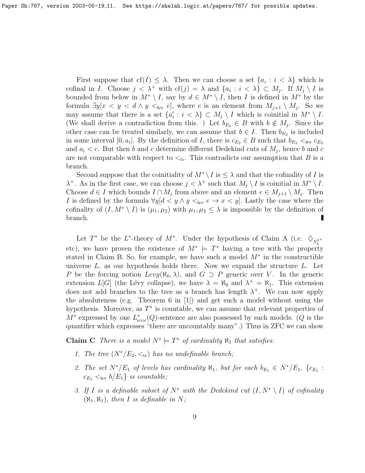First suppose that  $cf(I) \leq \lambda$ . Then we can choose a set  $\{a_i : i < \lambda\}$  which is cofinal in *I*. Choose  $j < \lambda^+$  with  $cf(j) = \lambda$  and  $\{a_i : i < \lambda\} \subset M_j$ . If  $M_j \setminus I$  is bounded from below in  $M^* \setminus I$ , say by  $d \in M^* \setminus I$ , then I is defined in  $M^*$  by the formula  $\exists y[x \leq y \leq d \land y \leq_{\text{lev}} e]$ , where e is an element from  $M_{j+1} \setminus M_j$ . So we may assume that there is a set  $\{a'_i : i < \lambda\} \subset M_j \setminus I$  which is coinitial in  $M^* \setminus I$ . (We shall derive a contradiction from this. ) Let  $b_{E_2} \in B$  with  $b \notin M_j$ . Since the other case can be treated similarly, we can assume that  $b \in I$ . Then  $b_{E_2}$  is included in some interval [0, a<sub>i</sub>]. By the definition of I, there is  $c_{E_2} \in B$  such that  $b_{E_2} <_{\text{lev}} c_{E_2}$ and  $a_i < c$ . But then b and c determine different Dedekind cuts of  $M_j$ , hence b and c are not comparable with respect to  $\lt_{tr}$ . This contradicts our assumption that B is a branch.

Second suppose that the coinitiality of  $M^* \setminus I$  is  $\leq \lambda$  and that the cofinality of I is  $\lambda^+$ . As in the first case, we can choose  $j < \lambda^+$  such that  $M_j \setminus I$  is coinitial in  $M^* \setminus I$ . Choose  $d \in I$  which bounds  $I \cap M_j$  from above and an element  $e \in M_{j+1} \setminus M_j$ . Then I is defined by the formula  $\forall y [d \langle y \land y \langle y \rangle]_y \land y \langle y \land y \langle z \rangle]_z$ . Lastly the case where the cofinality of  $(I, M^* \setminus I)$  is  $(\mu_1, \mu_2)$  with  $\mu_1, \mu_2 \leq \lambda$  is impossible by the definition of branch.

Let  $T^*$  be the L<sup>\*</sup>-theory of  $M^*$ . Under the hypothesis of Claim A (i.e.  $\diamondsuit_{S_\lambda^{\lambda^+}}$ etc), we have proven the existence of  $M^* \models T^*$  having a tree with the property stated in Claim B. So, for example, we have such a model  $M^*$  in the constructible universe  $L$ , as our hypothesis holds there. Now we expand the structure  $L$ . Let P be the forcing notion  $Levy(\aleph_0, \lambda)$ , and  $G \supset P$  generic over V. In the generic extension  $L[G]$  (the Lévy collapse), we have  $\lambda = \aleph_0$  and  $\lambda^+ = \aleph_1$ . This extension does not add branches to the tree as a branch has length  $\lambda^+$ . We can now apply the absoluteness (e.g. Theorem 6 in [1]) and get such a model without using the hypothesis. Moreover, as  $T^*$  is countable, we can assume that relevant properties of  $M^*$  expressed by one  $L^*_{\omega_1\omega}(Q)$ -sentence are also possessed by such models. (Q is the quantifier which expresses "there are uncountably many".) Thus in ZFC we can show

**Claim C** There is a model  $N^* \models T^*$  of cardinality  $\aleph_1$  that satisfies:

- 1. The tree  $(N^*/E_2, <_{\text{tr}})$  has no undefinable branch;
- 2. The set  $N^*/E_1$  of levels has cardinality  $\aleph_1$ , but for each  $b_{E_1} \in N^*/E_1$ ,  $\{c_{E_1}$ :  $c_{E_1} <_{\text{lev}} b/E_1$  is countable;
- 3. If I is a definable subset of  $N^*$  with the Dedekind cut  $(I, N^* \setminus I)$  of cofinality  $(\aleph_1, \aleph_1)$ , then I is definable in N;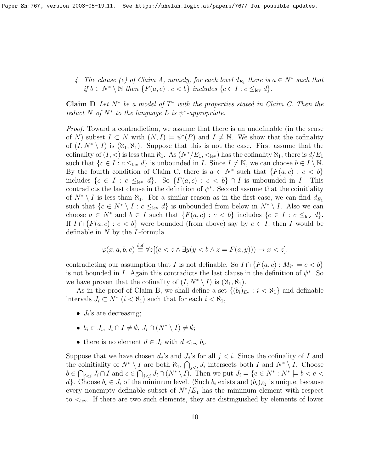4. The clause (e) of Claim A, namely, for each level  $d_{E_1}$  there is  $a \in N^*$  such that if  $b \in N^* \setminus \mathbb{N}$  then  $\{F(a, c) : c < b\}$  includes  $\{c \in I : c \leq_{\text{lev}} d\}.$ 

**Claim D** Let  $N^*$  be a model of  $T^*$  with the properties stated in Claim C. Then the reduct N of  $N^*$  to the language L is  $\psi^*$ -appropriate.

Proof. Toward a contradiction, we assume that there is an undefinable (in the sense of N) subset  $I \subset N$  with  $(N, I) \models \psi^*(P)$  and  $I \neq \mathbb{N}$ . We show that the cofinality of  $(I, N^* \setminus I)$  is  $(\aleph_1, \aleph_1)$ . Suppose that this is not the case. First assume that the cofinality of  $(I, <)$  is less than  $\aleph_1$ . As  $(N^*/E_1, <)sub>lev)$  has the cofinality  $\aleph_1$ , there is  $d/E_1$ such that  $\{c \in I : c \leq_{\text{lev}} d\}$  is unbounded in I. Since  $I \neq \mathbb{N}$ , we can choose  $b \in I \setminus \mathbb{N}$ . By the fourth condition of Claim C, there is  $a \in N^*$  such that  $\{F(a, c) : c < b\}$ includes  $\{c \in I : c \leq_{\text{lev}} d\}$ . So  $\{F(a, c) : c < b\} \cap I$  is unbounded in I. This contradicts the last clause in the definition of  $\psi^*$ . Second assume that the coinitiality of  $N^* \setminus I$  is less than  $\aleph_1$ . For a similar reason as in the first case, we can find  $d_{E_1}$ such that  $\{c \in N^* \setminus I : c \leq_{\text{lev}} d\}$  is unbounded from below in  $N^* \setminus I$ . Also we can choose  $a \in N^*$  and  $b \in I$  such that  $\{F(a, c) : c < b\}$  includes  $\{c \in I : c \leq_{\text{lev}} d\}.$ If  $I \cap \{F(a,c): c < b\}$  were bounded (from above) say by  $e \in I$ , then I would be definable in N by the L-formula

$$
\varphi(x, a, b, e) \stackrel{\text{def}}{=} \forall z [(e < z \land \exists y (y < b \land z = F(a, y))) \to x < z],
$$

contradicting our assumption that I is not definable. So  $I \cap \{F(a, c) : M_{i^*} \models c < b\}$ is not bounded in I. Again this contradicts the last clause in the definition of  $\psi^*$ . So we have proven that the cofinality of  $(I, N^* \setminus I)$  is  $(\aleph_1, \aleph_1)$ .

As in the proof of Claim B, we shall define a set  $\{(b_i)_{E_2} : i < \aleph_1\}$  and definable intervals  $J_i \subset N^*$   $(i < \aleph_1)$  such that for each  $i < \aleph_1$ ,

- $J_i$ 's are decreasing;
- $b_i \in J_i$ ,  $J_i \cap I \neq \emptyset$ ,  $J_i \cap (N^* \setminus I) \neq \emptyset$ ;
- there is no element  $d \in J_i$  with  $d <_{\text{lev}} b_i$ .

Suppose that we have chosen  $d_j$ 's and  $J_j$ 's for all  $j < i$ . Since the cofinality of I and the coinitiality of  $N^* \setminus I$  are both  $\aleph_1$ ,  $\bigcap_{j < i} J_i$  intersects both I and  $N^* \setminus I$ . Choose  $b \in \bigcap_{j < i} J_i \cap I$  and  $c \in \bigcap_{j < i} J_i \cap (N^* \setminus I)$ . Then we put  $J_i = \{e \in N^* : N^* \models b < e < i \land j \in I\}$ d}. Choose  $b_i \in J_i$  of the minimum level. (Such  $b_i$  exists and  $(b_i)_{E_2}$  is unique, because every nonempty definable subset of  $N^*/E_1$  has the minimum element with respect to  $\leq_{\text{lev}}$ . If there are two such elements, they are distinguished by elements of lower